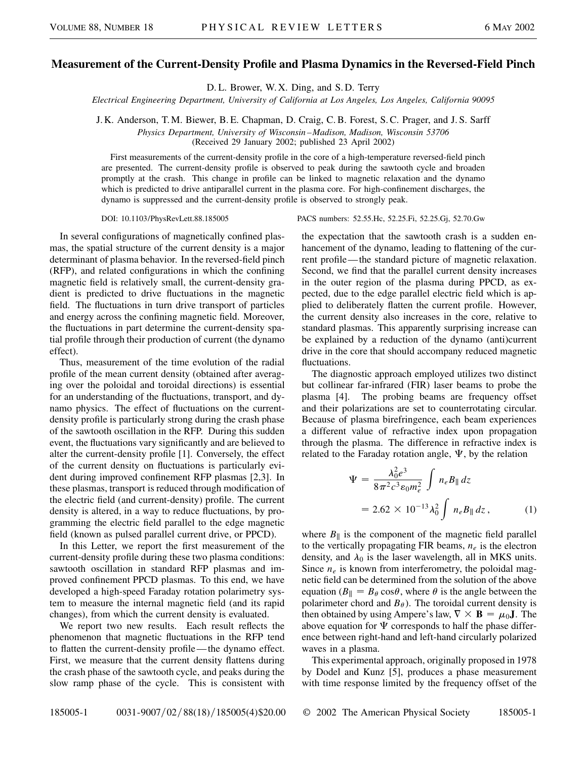## **Measurement of the Current-Density Profile and Plasma Dynamics in the Reversed-Field Pinch**

D. L. Brower, W. X. Ding, and S. D. Terry

*Electrical Engineering Department, University of California at Los Angeles, Los Angeles, California 90095*

J. K. Anderson, T. M. Biewer, B. E. Chapman, D. Craig, C. B. Forest, S. C. Prager, and J. S. Sarff

*Physics Department, University of Wisconsin –Madison, Madison, Wisconsin 53706* (Received 29 January 2002; published 23 April 2002)

First measurements of the current-density profile in the core of a high-temperature reversed-field pinch are presented. The current-density profile is observed to peak during the sawtooth cycle and broaden promptly at the crash. This change in profile can be linked to magnetic relaxation and the dynamo which is predicted to drive antiparallel current in the plasma core. For high-confinement discharges, the dynamo is suppressed and the current-density profile is observed to strongly peak.

In several configurations of magnetically confined plasmas, the spatial structure of the current density is a major determinant of plasma behavior. In the reversed-field pinch (RFP), and related configurations in which the confining magnetic field is relatively small, the current-density gradient is predicted to drive fluctuations in the magnetic field. The fluctuations in turn drive transport of particles and energy across the confining magnetic field. Moreover, the fluctuations in part determine the current-density spatial profile through their production of current (the dynamo effect).

Thus, measurement of the time evolution of the radial profile of the mean current density (obtained after averaging over the poloidal and toroidal directions) is essential for an understanding of the fluctuations, transport, and dynamo physics. The effect of fluctuations on the currentdensity profile is particularly strong during the crash phase of the sawtooth oscillation in the RFP. During this sudden event, the fluctuations vary significantly and are believed to alter the current-density profile [1]. Conversely, the effect of the current density on fluctuations is particularly evident during improved confinement RFP plasmas [2,3]. In these plasmas, transport is reduced through modification of the electric field (and current-density) profile. The current density is altered, in a way to reduce fluctuations, by programming the electric field parallel to the edge magnetic field (known as pulsed parallel current drive, or PPCD).

In this Letter, we report the first measurement of the current-density profile during these two plasma conditions: sawtooth oscillation in standard RFP plasmas and improved confinement PPCD plasmas. To this end, we have developed a high-speed Faraday rotation polarimetry system to measure the internal magnetic field (and its rapid changes), from which the current density is evaluated.

We report two new results. Each result reflects the phenomenon that magnetic fluctuations in the RFP tend to flatten the current-density profile—the dynamo effect. First, we measure that the current density flattens during the crash phase of the sawtooth cycle, and peaks during the slow ramp phase of the cycle. This is consistent with

DOI: 10.1103/PhysRevLett.88.185005 PACS numbers: 52.55.Hc, 52.25.Fi, 52.25.Gj, 52.70.Gw

the expectation that the sawtooth crash is a sudden enhancement of the dynamo, leading to flattening of the current profile—the standard picture of magnetic relaxation. Second, we find that the parallel current density increases in the outer region of the plasma during PPCD, as expected, due to the edge parallel electric field which is applied to deliberately flatten the current profile. However, the current density also increases in the core, relative to standard plasmas. This apparently surprising increase can be explained by a reduction of the dynamo (anti)current drive in the core that should accompany reduced magnetic fluctuations.

The diagnostic approach employed utilizes two distinct but collinear far-infrared (FIR) laser beams to probe the plasma [4]. The probing beams are frequency offset and their polarizations are set to counterrotating circular. Because of plasma birefringence, each beam experiences a different value of refractive index upon propagation through the plasma. The difference in refractive index is related to the Faraday rotation angle,  $\Psi$ , by the relation

$$
\Psi = \frac{\lambda_0^2 e^3}{8\pi^2 c^3 \epsilon_0 m_e^2} \int n_e B_{\parallel} dz
$$
  
= 2.62 × 10<sup>-13</sup>  $\lambda_0^2 \int n_e B_{\parallel} dz$ , (1)

where  $B_{\parallel}$  is the component of the magnetic field parallel to the vertically propagating FIR beams, *ne* is the electron density, and  $\lambda_0$  is the laser wavelength, all in MKS units. Since  $n_e$  is known from interferometry, the poloidal magnetic field can be determined from the solution of the above equation ( $B_{\parallel} = B_{\theta} \cos \theta$ , where  $\theta$  is the angle between the polarimeter chord and  $B_{\theta}$ ). The toroidal current density is then obtained by using Ampere's law,  $\nabla \times \mathbf{B} = \mu_0 \mathbf{J}$ . The above equation for  $\Psi$  corresponds to half the phase difference between right-hand and left-hand circularly polarized waves in a plasma.

This experimental approach, originally proposed in 1978 by Dodel and Kunz [5], produces a phase measurement with time response limited by the frequency offset of the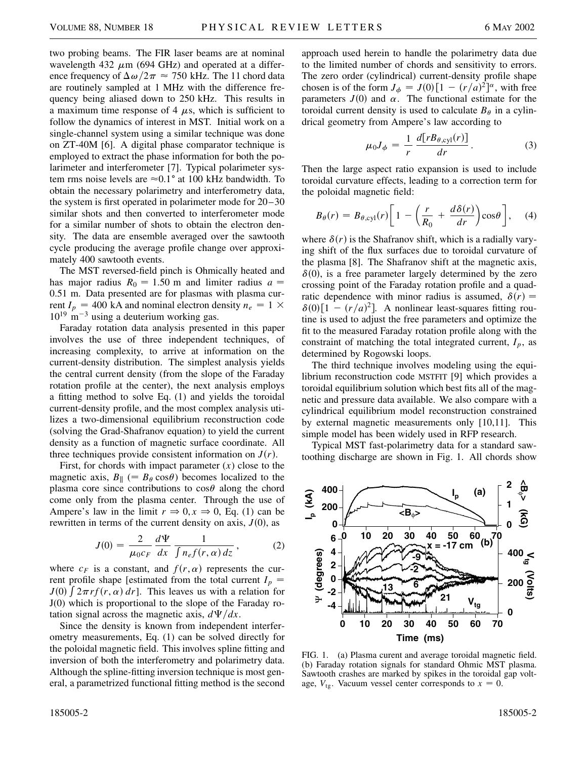two probing beams. The FIR laser beams are at nominal wavelength 432  $\mu$ m (694 GHz) and operated at a difference frequency of  $\Delta \omega / 2\pi \approx 750$  kHz. The 11 chord data are routinely sampled at 1 MHz with the difference frequency being aliased down to 250 kHz. This results in a maximum time response of 4  $\mu$ s, which is sufficient to follow the dynamics of interest in MST. Initial work on a single-channel system using a similar technique was done on ZT-40M [6]. A digital phase comparator technique is employed to extract the phase information for both the polarimeter and interferometer [7]. Typical polarimeter system rms noise levels are  $\approx 0.1^{\circ}$  at 100 kHz bandwidth. To obtain the necessary polarimetry and interferometry data, the system is first operated in polarimeter mode for 20–30 similar shots and then converted to interferometer mode for a similar number of shots to obtain the electron density. The data are ensemble averaged over the sawtooth cycle producing the average profile change over approximately 400 sawtooth events.

The MST reversed-field pinch is Ohmically heated and has major radius  $R_0 = 1.50$  m and limiter radius  $a =$ 0.51 m. Data presented are for plasmas with plasma current  $I_p = 400$  kA and nominal electron density  $n_e = 1 \times$  $10^{19}$  m<sup>-3</sup> using a deuterium working gas.

Faraday rotation data analysis presented in this paper involves the use of three independent techniques, of increasing complexity, to arrive at information on the current-density distribution. The simplest analysis yields the central current density (from the slope of the Faraday rotation profile at the center), the next analysis employs a fitting method to solve Eq. (1) and yields the toroidal current-density profile, and the most complex analysis utilizes a two-dimensional equilibrium reconstruction code (solving the Grad-Shafranov equation) to yield the current density as a function of magnetic surface coordinate. All three techniques provide consistent information on  $J(r)$ .

First, for chords with impact parameter  $(x)$  close to the magnetic axis,  $B_{\parallel}$  (=  $B_{\theta}$  cos $\theta$ ) becomes localized to the plasma core since contributions to  $\cos\theta$  along the chord come only from the plasma center. Through the use of Ampere's law in the limit  $r \Rightarrow 0, x \Rightarrow 0$ , Eq. (1) can be rewritten in terms of the current density on axis,  $J(0)$ , as

$$
J(0) = \frac{2}{\mu_0 c_F} \frac{d\Psi}{dx} \frac{1}{\int n_e f(r, \alpha) dz},
$$
 (2)

where  $c_F$  is a constant, and  $f(r, \alpha)$  represents the current profile shape [estimated from the total current  $I_p = I(0)$   $\int \mathcal{L}_{p}$   $\mathcal{L}_{p}$   $\mathcal{L}_{p}$   $\mathcal{L}_{p}$   $\mathcal{L}_{p}$   $\mathcal{L}_{p}$   $\mathcal{L}_{p}$   $\mathcal{L}_{p}$   $\mathcal{L}_{p}$   $\mathcal{L}_{p}$   $\mathcal{L}_{p}$   $\mathcal{L}_{p}$   $\mathcal{L}_{p}$   $\mathcal{L}_{p}$   $\$  $J(0)$   $\int 2\pi r f(r, \alpha) dr$ ]. This leaves us with a relation for J(0) which is proportional to the slope of the Faraday rotation signal across the magnetic axis,  $d\Psi/dx$ .

Since the density is known from independent interferometry measurements, Eq. (1) can be solved directly for the poloidal magnetic field. This involves spline fitting and inversion of both the interferometry and polarimetry data. Although the spline-fitting inversion technique is most general, a parametrized functional fitting method is the second approach used herein to handle the polarimetry data due to the limited number of chords and sensitivity to errors. The zero order (cylindrical) current-density profile shape chosen is of the form  $J_{\phi} = J(0) \left[ 1 - (r/a)^2 \right]$ <sup>*a*</sup>, with free parameters  $J(0)$  and  $\alpha$ . The functional estimate for the toroidal current density is used to calculate  $B_{\theta}$  in a cylindrical geometry from Ampere's law according to

$$
\mu_0 J_\phi = \frac{1}{r} \frac{d[rB_{\theta,\text{cyl}}(r)]}{dr}.
$$
 (3)

Then the large aspect ratio expansion is used to include toroidal curvature effects, leading to a correction term for the poloidal magnetic field:

$$
B_{\theta}(r) = B_{\theta, \text{cyl}}(r) \left[ 1 - \left( \frac{r}{R_0} + \frac{d\delta(r)}{dr} \right) \cos \theta \right], \quad (4)
$$

where  $\delta(r)$  is the Shafranov shift, which is a radially varying shift of the flux surfaces due to toroidal curvature of the plasma [8]. The Shafranov shift at the magnetic axis,  $\delta(0)$ , is a free parameter largely determined by the zero crossing point of the Faraday rotation profile and a quadratic dependence with minor radius is assumed,  $\delta(r)$  $\delta(0)$ [1 -  $(r/a)^2$ ]. A nonlinear least-squares fitting routine is used to adjust the free parameters and optimize the fit to the measured Faraday rotation profile along with the constraint of matching the total integrated current,  $I_p$ , as determined by Rogowski loops.

The third technique involves modeling using the equilibrium reconstruction code MSTFIT [9] which provides a toroidal equilibrium solution which best fits all of the magnetic and pressure data available. We also compare with a cylindrical equilibrium model reconstruction constrained by external magnetic measurements only [10,11]. This simple model has been widely used in RFP research.

Typical MST fast-polarimetry data for a standard sawtoothing discharge are shown in Fig. 1. All chords show



FIG. 1. (a) Plasma curent and average toroidal magnetic field. (b) Faraday rotation signals for standard Ohmic MST plasma. Sawtooth crashes are marked by spikes in the toroidal gap voltage,  $V_{tg}$ . Vacuum vessel center corresponds to  $x = 0$ .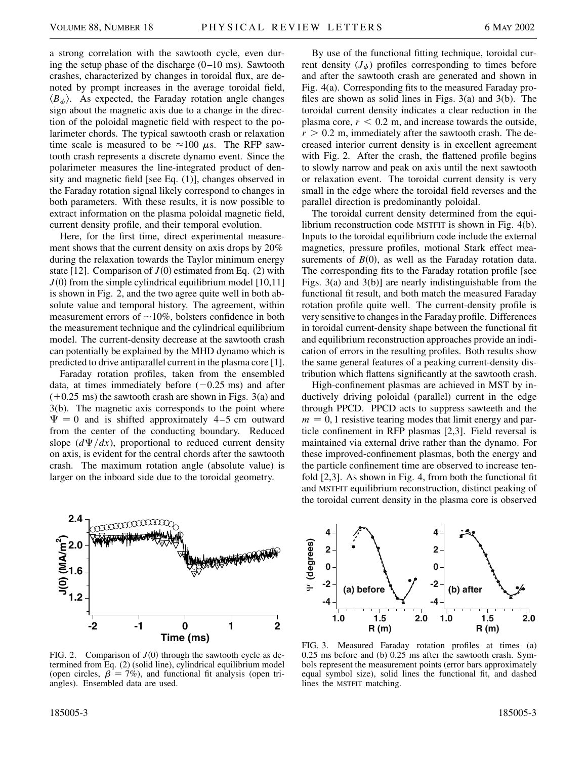a strong correlation with the sawtooth cycle, even during the setup phase of the discharge  $(0-10 \text{ ms})$ . Sawtooth crashes, characterized by changes in toroidal flux, are denoted by prompt increases in the average toroidal field,  $\langle B_{\phi} \rangle$ . As expected, the Faraday rotation angle changes sign about the magnetic axis due to a change in the direction of the poloidal magnetic field with respect to the polarimeter chords. The typical sawtooth crash or relaxation time scale is measured to be  $\approx 100 \mu s$ . The RFP sawtooth crash represents a discrete dynamo event. Since the polarimeter measures the line-integrated product of density and magnetic field [see Eq. (1)], changes observed in the Faraday rotation signal likely correspond to changes in both parameters. With these results, it is now possible to extract information on the plasma poloidal magnetic field, current density profile, and their temporal evolution.

Here, for the first time, direct experimental measurement shows that the current density on axis drops by 20% during the relaxation towards the Taylor minimum energy state [12]. Comparison of  $J(0)$  estimated from Eq. (2) with  $J(0)$  from the simple cylindrical equilibrium model [10,11] is shown in Fig. 2, and the two agree quite well in both absolute value and temporal history. The agreement, within measurement errors of  $\sim$ 10%, bolsters confidence in both the measurement technique and the cylindrical equilibrium model. The current-density decrease at the sawtooth crash can potentially be explained by the MHD dynamo which is predicted to drive antiparallel current in the plasma core [1].

Faraday rotation profiles, taken from the ensembled data, at times immediately before  $(-0.25 \text{ ms})$  and after  $(+0.25 \text{ ms})$  the sawtooth crash are shown in Figs. 3(a) and 3(b). The magnetic axis corresponds to the point where  $\Psi = 0$  and is shifted approximately 4–5 cm outward from the center of the conducting boundary. Reduced slope  $\left(\frac{d\Psi}{dx}\right)$ , proportional to reduced current density on axis, is evident for the central chords after the sawtooth crash. The maximum rotation angle (absolute value) is larger on the inboard side due to the toroidal geometry.

By use of the functional fitting technique, toroidal current density  $(J_{\phi})$  profiles corresponding to times before and after the sawtooth crash are generated and shown in Fig. 4(a). Corresponding fits to the measured Faraday profiles are shown as solid lines in Figs. 3(a) and 3(b). The toroidal current density indicates a clear reduction in the plasma core,  $r < 0.2$  m, and increase towards the outside,  $r > 0.2$  m, immediately after the sawtooth crash. The decreased interior current density is in excellent agreement with Fig. 2. After the crash, the flattened profile begins to slowly narrow and peak on axis until the next sawtooth or relaxation event. The toroidal current density is very small in the edge where the toroidal field reverses and the parallel direction is predominantly poloidal.

The toroidal current density determined from the equilibrium reconstruction code MSTFIT is shown in Fig. 4(b). Inputs to the toroidal equilibrium code include the external magnetics, pressure profiles, motional Stark effect measurements of  $B(0)$ , as well as the Faraday rotation data. The corresponding fits to the Faraday rotation profile [see Figs. 3(a) and 3(b)] are nearly indistinguishable from the functional fit result, and both match the measured Faraday rotation profile quite well. The current-density profile is very sensitive to changes in the Faraday profile. Differences in toroidal current-density shape between the functional fit and equilibrium reconstruction approaches provide an indication of errors in the resulting profiles. Both results show the same general features of a peaking current-density distribution which flattens significantly at the sawtooth crash.

High-confinement plasmas are achieved in MST by inductively driving poloidal (parallel) current in the edge through PPCD. PPCD acts to suppress sawteeth and the  $m = 0$ , 1 resistive tearing modes that limit energy and particle confinement in RFP plasmas [2,3]. Field reversal is maintained via external drive rather than the dynamo. For these improved-confinement plasmas, both the energy and the particle confinement time are observed to increase tenfold [2,3]. As shown in Fig. 4, from both the functional fit and MSTFIT equilibrium reconstruction, distinct peaking of the toroidal current density in the plasma core is observed



**4 4** Ψ **(degrees)**  $\frac{1}{2}$  (degrees) **2 2 0 0 -2 -2 (a) before (b) after -4 -4 1.0 1.5 2.0 1.0 1.5 2.0 R (m) R (m)**

FIG. 2. Comparison of  $J(0)$  through the sawtooth cycle as determined from Eq. (2) (solid line), cylindrical equilibrium model (open circles,  $\beta = 7\%$ ), and functional fit analysis (open triangles). Ensembled data are used.

FIG. 3. Measured Faraday rotation profiles at times (a) 0.25 ms before and (b) 0.25 ms after the sawtooth crash. Symbols represent the measurement points (error bars approximately equal symbol size), solid lines the functional fit, and dashed lines the MSTFIT matching.